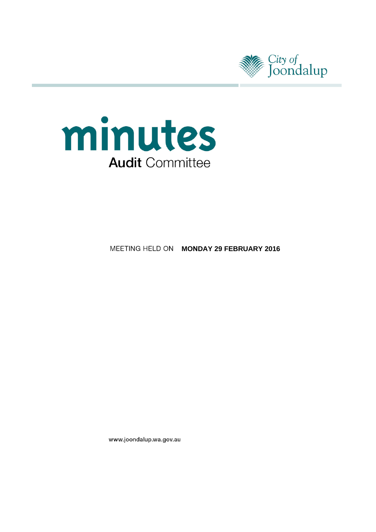



# **MEETING HELD ON MONDAY 29 FEBRUARY 2016**

www.joondalup.wa.gov.au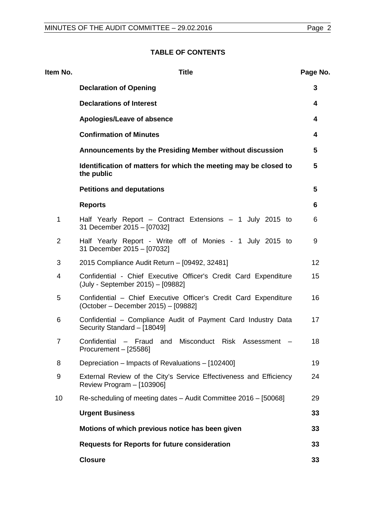| Item No.       | <b>Title</b>                                                                                            | Page No.        |
|----------------|---------------------------------------------------------------------------------------------------------|-----------------|
|                | <b>Declaration of Opening</b>                                                                           | 3               |
|                | <b>Declarations of Interest</b>                                                                         | 4               |
|                | Apologies/Leave of absence                                                                              | 4               |
|                | <b>Confirmation of Minutes</b>                                                                          | 4               |
|                | Announcements by the Presiding Member without discussion                                                | 5               |
|                | Identification of matters for which the meeting may be closed to<br>the public                          | $5\phantom{.0}$ |
|                | <b>Petitions and deputations</b>                                                                        | $5\phantom{.0}$ |
|                | <b>Reports</b>                                                                                          | 6               |
| 1              | Half Yearly Report – Contract Extensions – 1 July 2015 to<br>31 December 2015 - [07032]                 | 6               |
| $\overline{2}$ | Half Yearly Report - Write off of Monies - 1 July 2015 to<br>31 December 2015 - [07032]                 | 9               |
| 3              | 2015 Compliance Audit Return - [09492, 32481]                                                           | 12              |
| 4              | Confidential - Chief Executive Officer's Credit Card Expenditure<br>(July - September 2015) - [09882]   | 15              |
| 5              | Confidential - Chief Executive Officer's Credit Card Expenditure<br>(October – December 2015) – [09882] | 16              |
| 6              | Confidential – Compliance Audit of Payment Card Industry Data<br>Security Standard - [18049]            | 17              |
| $\overline{7}$ | Confidential – Fraud and Misconduct Risk Assessment –<br>Procurement - [25586]                          | 18              |
| 8              | Depreciation – Impacts of Revaluations – [102400]                                                       | 19              |
| 9              | External Review of the City's Service Effectiveness and Efficiency<br>Review Program - [103906]         | 24              |
| 10             | Re-scheduling of meeting dates - Audit Committee 2016 - [50068]                                         | 29              |
|                | <b>Urgent Business</b>                                                                                  | 33              |
|                | Motions of which previous notice has been given                                                         | 33              |
|                | <b>Requests for Reports for future consideration</b>                                                    | 33              |
|                | <b>Closure</b>                                                                                          | 33              |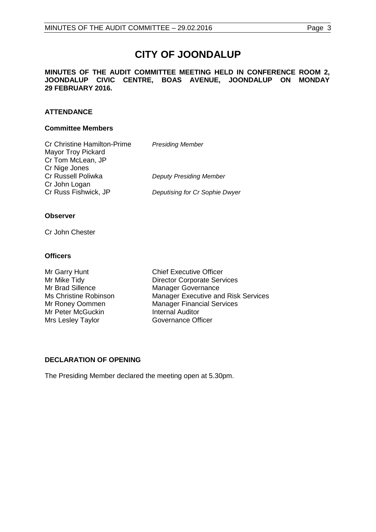# **CITY OF JOONDALUP**

#### **MINUTES OF THE AUDIT COMMITTEE MEETING HELD IN CONFERENCE ROOM 2, JOONDALUP CIVIC CENTRE, BOAS AVENUE, JOONDALUP ON MONDAY 29 FEBRUARY 2016.**

# **ATTENDANCE**

#### **Committee Members**

| <b>Presiding Member</b>        |
|--------------------------------|
|                                |
|                                |
|                                |
| <b>Deputy Presiding Member</b> |
|                                |
| Deputising for Cr Sophie Dwyer |
|                                |

#### **Observer**

Cr John Chester

## **Officers**

Mr Brad Sillence Manager Governance<br>
Ms Christine Robinson<br>
Manager Executive an Mr Peter McGuckin **Internal Auditor** Mrs Lesley Taylor Governance Officer

Mr Garry Hunt Chief Executive Officer<br>
Mr Mike Tidy Chief Executive Officer<br>
Director Corporate Serv Mr Mike Tidy **Director Corporate Services**<br>
Mr Brad Sillence **Manager Governance** Ms Christine Robinson Manager Executive and Risk Services<br>Mr Roney Oommen Manager Financial Services Manager Financial Services

## <span id="page-2-0"></span>**DECLARATION OF OPENING**

The Presiding Member declared the meeting open at 5.30pm.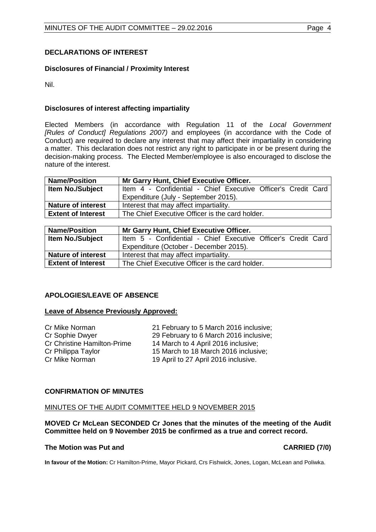# <span id="page-3-0"></span>**DECLARATIONS OF INTEREST**

# **Disclosures of Financial / Proximity Interest**

Nil.

# **Disclosures of interest affecting impartiality**

Elected Members (in accordance with Regulation 11 of the *Local Government [Rules of Conduct] Regulations 2007)* and employees (in accordance with the Code of Conduct) are required to declare any interest that may affect their impartiality in considering a matter. This declaration does not restrict any right to participate in or be present during the decision-making process. The Elected Member/employee is also encouraged to disclose the nature of the interest.

| <b>Name/Position</b>      | Mr Garry Hunt, Chief Executive Officer.                       |  |
|---------------------------|---------------------------------------------------------------|--|
| <b>Item No./Subject</b>   | Item 4 - Confidential - Chief Executive Officer's Credit Card |  |
|                           | Expenditure (July - September 2015).                          |  |
| <b>Nature of interest</b> | Interest that may affect impartiality.                        |  |
| <b>Extent of Interest</b> | The Chief Executive Officer is the card holder.               |  |

| <b>Name/Position</b>      | Mr Garry Hunt, Chief Executive Officer.                       |  |
|---------------------------|---------------------------------------------------------------|--|
| <b>Item No./Subject</b>   | Item 5 - Confidential - Chief Executive Officer's Credit Card |  |
|                           | Expenditure (October - December 2015).                        |  |
| <b>Nature of interest</b> | Interest that may affect impartiality.                        |  |
| <b>Extent of Interest</b> | The Chief Executive Officer is the card holder.               |  |

## <span id="page-3-1"></span>**APOLOGIES/LEAVE OF ABSENCE**

## **Leave of Absence Previously Approved:**

| Cr Mike Norman              | 21 February to 5 March 2016 inclusive; |
|-----------------------------|----------------------------------------|
| Cr Sophie Dwyer             | 29 February to 6 March 2016 inclusive; |
| Cr Christine Hamilton-Prime | 14 March to 4 April 2016 inclusive;    |
| Cr Philippa Taylor          | 15 March to 18 March 2016 inclusive;   |
| Cr Mike Norman              | 19 April to 27 April 2016 inclusive.   |

## <span id="page-3-2"></span>**CONFIRMATION OF MINUTES**

#### MINUTES OF THE AUDIT COMMITTEE HELD 9 NOVEMBER 2015

**MOVED Cr McLean SECONDED Cr Jones that the minutes of the meeting of the Audit Committee held on 9 November 2015 be confirmed as a true and correct record.**

#### <span id="page-3-3"></span>**The Motion was Put and CARRIED (7/0)**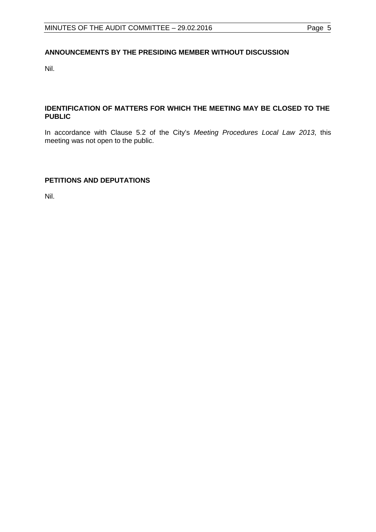# **ANNOUNCEMENTS BY THE PRESIDING MEMBER WITHOUT DISCUSSION**

Nil.

# <span id="page-4-0"></span>**IDENTIFICATION OF MATTERS FOR WHICH THE MEETING MAY BE CLOSED TO THE PUBLIC**

In accordance with Clause 5.2 of the City's *Meeting Procedures Local Law 2013*, this meeting was not open to the public.

# <span id="page-4-1"></span>**PETITIONS AND DEPUTATIONS**

Nil.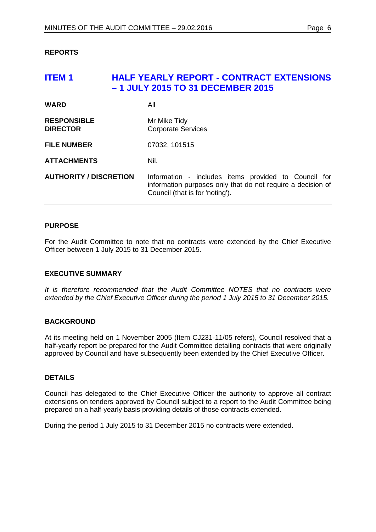## <span id="page-5-0"></span>**REPORTS**

# <span id="page-5-1"></span>**ITEM 1 HALF YEARLY REPORT - CONTRACT EXTENSIONS – 1 JULY 2015 TO 31 DECEMBER 2015**

| <b>WARD</b>                           | All                                                                                                                                                    |
|---------------------------------------|--------------------------------------------------------------------------------------------------------------------------------------------------------|
| <b>RESPONSIBLE</b><br><b>DIRECTOR</b> | Mr Mike Tidy<br><b>Corporate Services</b>                                                                                                              |
| <b>FILE NUMBER</b>                    | 07032, 101515                                                                                                                                          |
| <b>ATTACHMENTS</b>                    | Nil.                                                                                                                                                   |
| <b>AUTHORITY / DISCRETION</b>         | Information - includes items provided to Council for<br>information purposes only that do not require a decision of<br>Council (that is for 'noting'). |

## **PURPOSE**

For the Audit Committee to note that no contracts were extended by the Chief Executive Officer between 1 July 2015 to 31 December 2015.

## **EXECUTIVE SUMMARY**

*It is therefore recommended that the Audit Committee NOTES that no contracts were extended by the Chief Executive Officer during the period 1 July 2015 to 31 December 2015.*

## **BACKGROUND**

At its meeting held on 1 November 2005 (Item CJ231-11/05 refers), Council resolved that a half-yearly report be prepared for the Audit Committee detailing contracts that were originally approved by Council and have subsequently been extended by the Chief Executive Officer.

## **DETAILS**

Council has delegated to the Chief Executive Officer the authority to approve all contract extensions on tenders approved by Council subject to a report to the Audit Committee being prepared on a half-yearly basis providing details of those contracts extended.

During the period 1 July 2015 to 31 December 2015 no contracts were extended.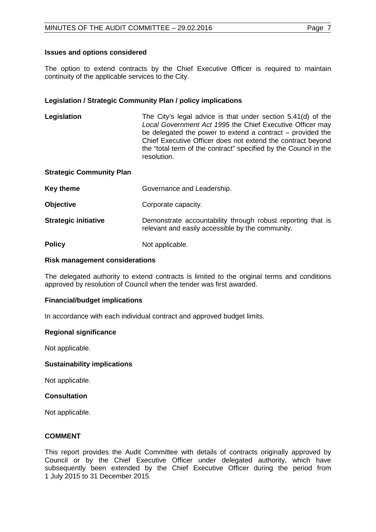## **Issues and options considered**

The option to extend contracts by the Chief Executive Officer is required to maintain continuity of the applicable services to the City.

#### **Legislation / Strategic Community Plan / policy implications**

**Legislation** The City's legal advice is that under section 5.41(d) of the *Local Government Act 1995* the Chief Executive Officer may be delegated the power to extend a contract – provided the Chief Executive Officer does not extend the contract beyond the "total term of the contract" specified by the Council in the resolution.

#### **Strategic Community Plan**

| Key theme                   | Governance and Leadership.                                                                                      |
|-----------------------------|-----------------------------------------------------------------------------------------------------------------|
| <b>Objective</b>            | Corporate capacity.                                                                                             |
| <b>Strategic initiative</b> | Demonstrate accountability through robust reporting that is<br>relevant and easily accessible by the community. |
| <b>Policy</b>               | Not applicable.                                                                                                 |

# **Risk management considerations**

The delegated authority to extend contracts is limited to the original terms and conditions approved by resolution of Council when the tender was first awarded.

#### **Financial/budget implications**

In accordance with each individual contract and approved budget limits.

#### **Regional significance**

Not applicable.

#### **Sustainability implications**

Not applicable.

#### **Consultation**

Not applicable.

#### **COMMENT**

This report provides the Audit Committee with details of contracts originally approved by Council or by the Chief Executive Officer under delegated authority, which have subsequently been extended by the Chief Executive Officer during the period from 1 July 2015 to 31 December 2015.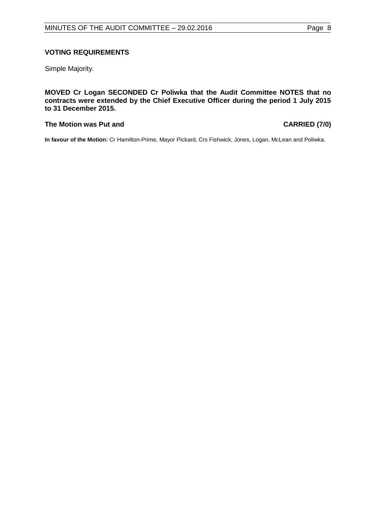### **VOTING REQUIREMENTS**

Simple Majority.

**MOVED Cr Logan SECONDED Cr Poliwka that the Audit Committee NOTES that no contracts were extended by the Chief Executive Officer during the period 1 July 2015 to 31 December 2015.**

#### **The Motion was Put and CARRIED (7/0)**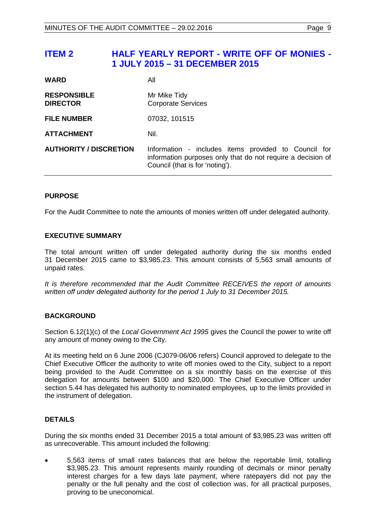# <span id="page-8-0"></span>**ITEM 2 HALF YEARLY REPORT - WRITE OFF OF MONIES - 1 JULY 2015 – 31 DECEMBER 2015**

| <b>WARD</b>                           | All                                                                                                                                                    |
|---------------------------------------|--------------------------------------------------------------------------------------------------------------------------------------------------------|
| <b>RESPONSIBLE</b><br><b>DIRECTOR</b> | Mr Mike Tidy<br><b>Corporate Services</b>                                                                                                              |
| <b>FILE NUMBER</b>                    | 07032, 101515                                                                                                                                          |
| <b>ATTACHMENT</b>                     | Nil.                                                                                                                                                   |
| <b>AUTHORITY / DISCRETION</b>         | Information - includes items provided to Council for<br>information purposes only that do not require a decision of<br>Council (that is for 'noting'). |

## **PURPOSE**

For the Audit Committee to note the amounts of monies written off under delegated authority.

## **EXECUTIVE SUMMARY**

The total amount written off under delegated authority during the six months ended 31 December 2015 came to \$3,985.23. This amount consists of 5,563 small amounts of unpaid rates.

*It is therefore recommended that the Audit Committee RECEIVES the report of amounts written off under delegated authority for the period 1 July to 31 December 2015.*

## **BACKGROUND**

Section 6.12(1)(c) of the *Local Government Act 1995* gives the Council the power to write off any amount of money owing to the City.

At its meeting held on 6 June 2006 (CJ079-06/06 refers) Council approved to delegate to the Chief Executive Officer the authority to write off monies owed to the City, subject to a report being provided to the Audit Committee on a six monthly basis on the exercise of this delegation for amounts between \$100 and \$20,000. The Chief Executive Officer under section 5.44 has delegated his authority to nominated employees, up to the limits provided in the instrument of delegation.

# **DETAILS**

During the six months ended 31 December 2015 a total amount of \$3,985.23 was written off as unrecoverable. This amount included the following:

• 5,563 items of small rates balances that are below the reportable limit, totalling \$3,985.23. This amount represents mainly rounding of decimals or minor penalty interest charges for a few days late payment, where ratepayers did not pay the penalty or the full penalty and the cost of collection was, for all practical purposes, proving to be uneconomical.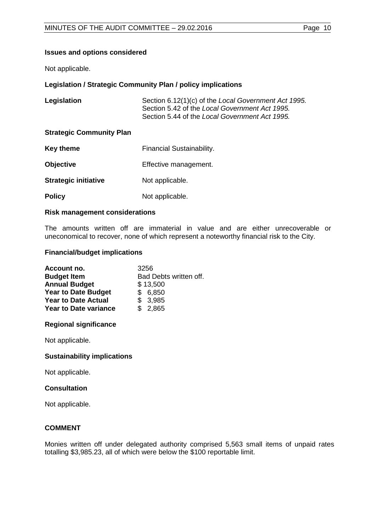## **Issues and options considered**

Not applicable.

## **Legislation / Strategic Community Plan / policy implications**

| Legislation                     | Section 6.12(1)(c) of the Local Government Act 1995.<br>Section 5.42 of the Local Government Act 1995.<br>Section 5.44 of the Local Government Act 1995. |
|---------------------------------|----------------------------------------------------------------------------------------------------------------------------------------------------------|
| <b>Strategic Community Plan</b> |                                                                                                                                                          |
| <b>Key theme</b>                | Financial Sustainability.                                                                                                                                |
| <b>Objective</b>                | Effective management.                                                                                                                                    |
| <b>Strategic initiative</b>     | Not applicable.                                                                                                                                          |

**Policy** Not applicable.

#### **Risk management considerations**

The amounts written off are immaterial in value and are either unrecoverable or uneconomical to recover, none of which represent a noteworthy financial risk to the City.

#### **Financial/budget implications**

| Account no.                  | 3256                   |
|------------------------------|------------------------|
| <b>Budget Item</b>           | Bad Debts written off. |
| <b>Annual Budget</b>         | \$13,500               |
| <b>Year to Date Budget</b>   | \$6,850                |
| <b>Year to Date Actual</b>   | \$3,985                |
| <b>Year to Date variance</b> | \$2,865                |

## **Regional significance**

Not applicable.

## **Sustainability implications**

Not applicable.

#### **Consultation**

Not applicable.

# **COMMENT**

Monies written off under delegated authority comprised 5,563 small items of unpaid rates totalling \$3,985.23, all of which were below the \$100 reportable limit.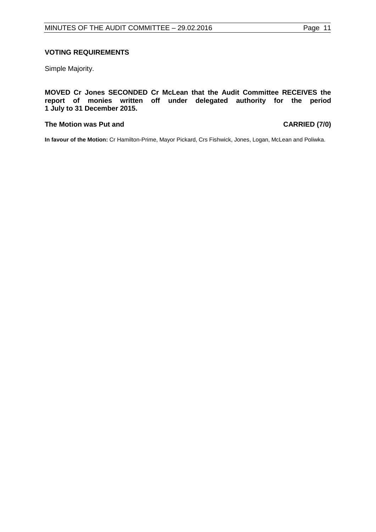## **VOTING REQUIREMENTS**

Simple Majority.

#### **MOVED Cr Jones SECONDED Cr McLean that the Audit Committee RECEIVES the report of monies written off under delegated authority for the period 1 July to 31 December 2015.**

#### **The Motion was Put and CARRIED (7/0)**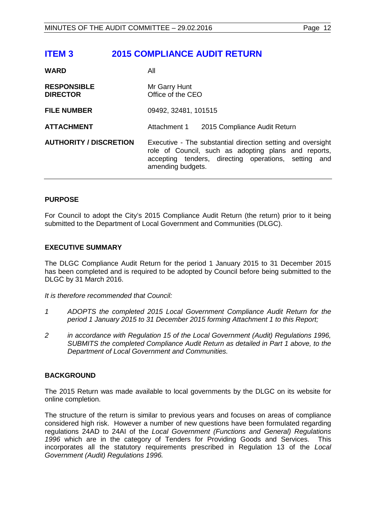# <span id="page-11-0"></span>**ITEM 3 2015 COMPLIANCE AUDIT RETURN**

| <b>WARD</b>                           | All                                                                                                                                                                                                 |  |
|---------------------------------------|-----------------------------------------------------------------------------------------------------------------------------------------------------------------------------------------------------|--|
| <b>RESPONSIBLE</b><br><b>DIRECTOR</b> | Mr Garry Hunt<br>Office of the CEO                                                                                                                                                                  |  |
| <b>FILE NUMBER</b>                    | 09492, 32481, 101515                                                                                                                                                                                |  |
| <b>ATTACHMENT</b>                     | Attachment 1<br>2015 Compliance Audit Return                                                                                                                                                        |  |
| <b>AUTHORITY / DISCRETION</b>         | Executive - The substantial direction setting and oversight<br>role of Council, such as adopting plans and reports,<br>accepting tenders, directing operations, setting<br>and<br>amending budgets. |  |

## **PURPOSE**

For Council to adopt the City's 2015 Compliance Audit Return (the return) prior to it being submitted to the Department of Local Government and Communities (DLGC).

## **EXECUTIVE SUMMARY**

The DLGC Compliance Audit Return for the period 1 January 2015 to 31 December 2015 has been completed and is required to be adopted by Council before being submitted to the DLGC by 31 March 2016.

*It is therefore recommended that Council:*

- *1 ADOPTS the completed 2015 Local Government Compliance Audit Return for the period 1 January 2015 to 31 December 2015 forming Attachment 1 to this Report;*
- *2 in accordance with Regulation 15 of the Local Government (Audit) Regulations 1996, SUBMITS the completed Compliance Audit Return as detailed in Part 1 above, to the Department of Local Government and Communities.*

## **BACKGROUND**

The 2015 Return was made available to local governments by the DLGC on its website for online completion.

The structure of the return is similar to previous years and focuses on areas of compliance considered high risk. However a number of new questions have been formulated regarding regulations 24AD to 24AI of the *Local Government (Functions and General) Regulations 1996* which are in the category of Tenders for Providing Goods and Services. This incorporates all the statutory requirements prescribed in Regulation 13 of the *Local Government (Audit) Regulations 1996.*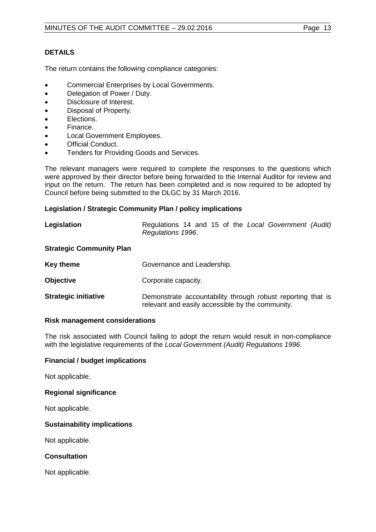# **DETAILS**

The return contains the following compliance categories:

- Commercial Enterprises by Local Governments.
- Delegation of Power / Duty.
- Disclosure of Interest.
- Disposal of Property.
- Elections.
- Finance.
- Local Government Employees.
- Official Conduct.
- Tenders for Providing Goods and Services.

The relevant managers were required to complete the responses to the questions which were approved by their director before being forwarded to the Internal Auditor for review and input on the return. The return has been completed and is now required to be adopted by Council before being submitted to the DLGC by 31 March 2016.

#### **Legislation / Strategic Community Plan / policy implications**

| Legislation                     | Regulations 14 and 15 of the Local Government (Audit)<br>Regulations 1996. |
|---------------------------------|----------------------------------------------------------------------------|
| <b>Strategic Community Plan</b> |                                                                            |
| <b>Key theme</b>                | Governance and Leadership.                                                 |
| <b>Objective</b>                | Corporate capacity.                                                        |

**Strategic initiative Demonstrate accountability through robust reporting that is** relevant and easily accessible by the community.

#### **Risk management considerations**

The risk associated with Council failing to adopt the return would result in non-compliance with the legislative requirements of the *Local Government (Audit) Regulations 1996*.

#### **Financial / budget implications**

Not applicable.

#### **Regional significance**

Not applicable.

#### **Sustainability implications**

Not applicable.

#### **Consultation**

Not applicable.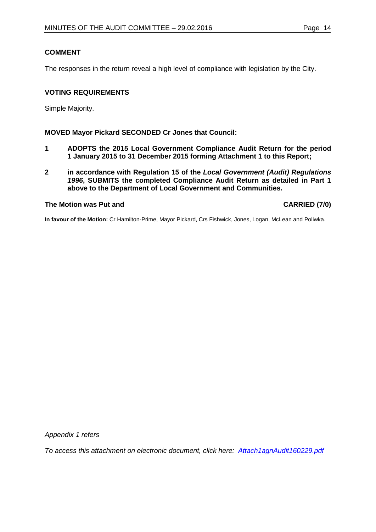# **COMMENT**

The responses in the return reveal a high level of compliance with legislation by the City.

# **VOTING REQUIREMENTS**

Simple Majority.

# **MOVED Mayor Pickard SECONDED Cr Jones that Council:**

- **1 ADOPTS the 2015 Local Government Compliance Audit Return for the period 1 January 2015 to 31 December 2015 forming Attachment 1 to this Report;**
- **2 in accordance with Regulation 15 of the** *Local Government (Audit) Regulations 1996***, SUBMITS the completed Compliance Audit Return as detailed in Part 1 above to the Department of Local Government and Communities.**

# **The Motion was Put and CARRIED (7/0)**

**In favour of the Motion:** Cr Hamilton-Prime, Mayor Pickard, Crs Fishwick, Jones, Logan, McLean and Poliwka.

*Appendix 1 refers*

*To access this attachment on electronic document, click h[ere: Attach1agnAudit160229.pdf](http://www.joondalup.wa.gov.au/files/committees/AUDT/2016/Attach1agnAudit160229.pdf)*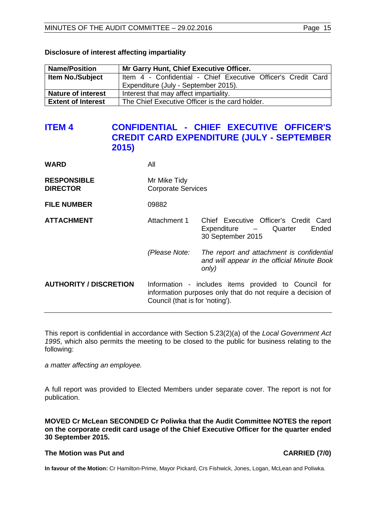| <b>Name/Position</b>      | Mr Garry Hunt, Chief Executive Officer.                       |  |  |
|---------------------------|---------------------------------------------------------------|--|--|
| <b>Item No./Subject</b>   | Item 4 - Confidential - Chief Executive Officer's Credit Card |  |  |
|                           | Expenditure (July - September 2015).                          |  |  |
| <b>Nature of interest</b> | Interest that may affect impartiality.                        |  |  |
| <b>Extent of Interest</b> | The Chief Executive Officer is the card holder.               |  |  |

### **Disclosure of interest affecting impartiality**

# <span id="page-14-0"></span>**ITEM 4 CONFIDENTIAL - CHIEF EXECUTIVE OFFICER'S CREDIT CARD EXPENDITURE (JULY - SEPTEMBER 2015)**

| WARD                                  | All                                                                                                                                                    |                                                                                                   |
|---------------------------------------|--------------------------------------------------------------------------------------------------------------------------------------------------------|---------------------------------------------------------------------------------------------------|
| <b>RESPONSIBLE</b><br><b>DIRECTOR</b> | Mr Mike Tidy<br><b>Corporate Services</b>                                                                                                              |                                                                                                   |
| <b>FILE NUMBER</b>                    | 09882                                                                                                                                                  |                                                                                                   |
| <b>ATTACHMENT</b>                     | Attachment 1                                                                                                                                           | Chief Executive Officer's Credit Card<br>Ended<br>Expenditure – Quarter<br>30 September 2015      |
|                                       | (Please Note:                                                                                                                                          | The report and attachment is confidential<br>and will appear in the official Minute Book<br>only) |
| <b>AUTHORITY / DISCRETION</b>         | Information - includes items provided to Council for<br>information purposes only that do not require a decision of<br>Council (that is for 'noting'). |                                                                                                   |

This report is confidential in accordance with Section 5.23(2)(a) of the *Local Government Act 1995*, which also permits the meeting to be closed to the public for business relating to the following:

*a matter affecting an employee.*

A full report was provided to Elected Members under separate cover. The report is not for publication.

**MOVED Cr McLean SECONDED Cr Poliwka that the Audit Committee NOTES the report on the corporate credit card usage of the Chief Executive Officer for the quarter ended 30 September 2015.**

# **The Motion was Put and CARRIED (7/0)**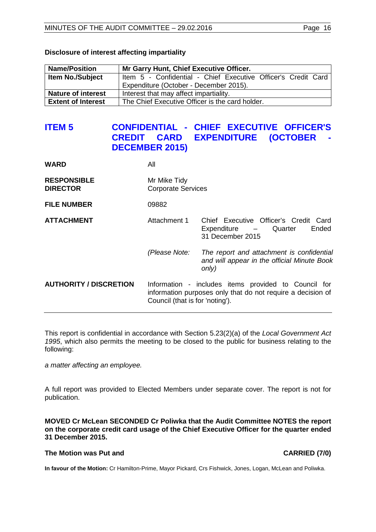| <b>Name/Position</b>      | Mr Garry Hunt, Chief Executive Officer.                       |  |  |
|---------------------------|---------------------------------------------------------------|--|--|
| <b>Item No./Subject</b>   | Item 5 - Confidential - Chief Executive Officer's Credit Card |  |  |
|                           | Expenditure (October - December 2015).                        |  |  |
| <b>Nature of interest</b> | Interest that may affect impartiality.                        |  |  |
| <b>Extent of Interest</b> | The Chief Executive Officer is the card holder.               |  |  |

#### **Disclosure of interest affecting impartiality**

# <span id="page-15-0"></span>**ITEM 5 CONFIDENTIAL - CHIEF EXECUTIVE OFFICER'S CARD EXPENDITURE (OCTOBER -DECEMBER 2015)**

| <b>WARD</b>                           | All                                                                                                                                                    |                                                                                                    |
|---------------------------------------|--------------------------------------------------------------------------------------------------------------------------------------------------------|----------------------------------------------------------------------------------------------------|
| <b>RESPONSIBLE</b><br><b>DIRECTOR</b> | Mr Mike Tidy<br><b>Corporate Services</b>                                                                                                              |                                                                                                    |
| <b>FILE NUMBER</b>                    | 09882                                                                                                                                                  |                                                                                                    |
| <b>ATTACHMENT</b>                     | Attachment 1                                                                                                                                           | Chief Executive Officer's Credit Card<br>Ended<br>Quarter<br>$Expenditure$ $-$<br>31 December 2015 |
|                                       | (Please Note:                                                                                                                                          | The report and attachment is confidential<br>and will appear in the official Minute Book<br>only)  |
| <b>AUTHORITY / DISCRETION</b>         | Information - includes items provided to Council for<br>information purposes only that do not require a decision of<br>Council (that is for 'noting'). |                                                                                                    |

This report is confidential in accordance with Section 5.23(2)(a) of the *Local Government Act 1995*, which also permits the meeting to be closed to the public for business relating to the following:

*a matter affecting an employee.*

A full report was provided to Elected Members under separate cover. The report is not for publication.

**MOVED Cr McLean SECONDED Cr Poliwka that the Audit Committee NOTES the report on the corporate credit card usage of the Chief Executive Officer for the quarter ended 31 December 2015.**

# **The Motion was Put and CARRIED (7/0)**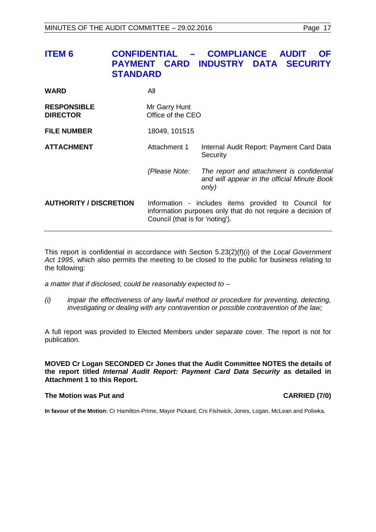<span id="page-16-0"></span>

| ITEM 6 | CONFIDENTIAL - COMPLIANCE AUDIT OF<br><b>PAYMENT CARD INDUSTRY DATA SECURITY</b><br><b>STANDARD</b> |  |
|--------|-----------------------------------------------------------------------------------------------------|--|
| WARD   | All                                                                                                 |  |

| <b>RESPONSIBLE</b><br><b>DIRECTOR</b> | Mr Garry Hunt<br>Office of the CEO                                                                                                                     |                                                                                                   |
|---------------------------------------|--------------------------------------------------------------------------------------------------------------------------------------------------------|---------------------------------------------------------------------------------------------------|
| <b>FILE NUMBER</b>                    | 18049, 101515                                                                                                                                          |                                                                                                   |
| <b>ATTACHMENT</b>                     | Attachment 1                                                                                                                                           | Internal Audit Report: Payment Card Data<br>Security                                              |
|                                       | (Please Note:                                                                                                                                          | The report and attachment is confidential<br>and will appear in the official Minute Book<br>only) |
| <b>AUTHORITY / DISCRETION</b>         | Information - includes items provided to Council for<br>information purposes only that do not require a decision of<br>Council (that is for 'noting'). |                                                                                                   |

This report is confidential in accordance with Section 5.23(2)(f)(i) of the *Local Government Act 1995*, which also permits the meeting to be closed to the public for business relating to the following:

*a matter that if disclosed, could be reasonably expected to –*

*(i) impair the effectiveness of any lawful method or procedure for preventing, detecting, investigating or dealing with any contravention or possible contravention of the law;*

A full report was provided to Elected Members under separate cover. The report is not for publication.

**MOVED Cr Logan SECONDED Cr Jones that the Audit Committee NOTES the details of the report titled** *Internal Audit Report: Payment Card Data Security* **as detailed in Attachment 1 to this Report***.*

## **The Motion was Put and CARRIED (7/0)**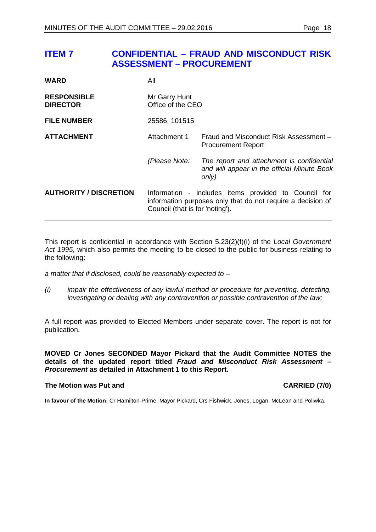<span id="page-17-0"></span>

| <b>WARD</b>                           | All                                                                                                                                                    |                                                                                                   |
|---------------------------------------|--------------------------------------------------------------------------------------------------------------------------------------------------------|---------------------------------------------------------------------------------------------------|
| <b>RESPONSIBLE</b><br><b>DIRECTOR</b> | Mr Garry Hunt<br>Office of the CEO                                                                                                                     |                                                                                                   |
| <b>FILE NUMBER</b>                    | 25586, 101515                                                                                                                                          |                                                                                                   |
| <b>ATTACHMENT</b>                     | Attachment 1                                                                                                                                           | Fraud and Misconduct Risk Assessment -<br><b>Procurement Report</b>                               |
|                                       | (Please Note:                                                                                                                                          | The report and attachment is confidential<br>and will appear in the official Minute Book<br>only) |
| <b>AUTHORITY / DISCRETION</b>         | Information - includes items provided to Council for<br>information purposes only that do not require a decision of<br>Council (that is for 'noting'). |                                                                                                   |

This report is confidential in accordance with Section 5.23(2)(f)(i) of the *Local Government Act 1995*, which also permits the meeting to be closed to the public for business relating to the following:

*a matter that if disclosed, could be reasonably expected to –*

*(i) impair the effectiveness of any lawful method or procedure for preventing, detecting, investigating or dealing with any contravention or possible contravention of the law;*

A full report was provided to Elected Members under separate cover. The report is not for publication.

**MOVED Cr Jones SECONDED Mayor Pickard that the Audit Committee NOTES the details of the updated report titled** *Fraud and Misconduct Risk Assessment – Procurement* **as detailed in Attachment 1 to this Report.**

#### **The Motion was Put and CARRIED (7/0)**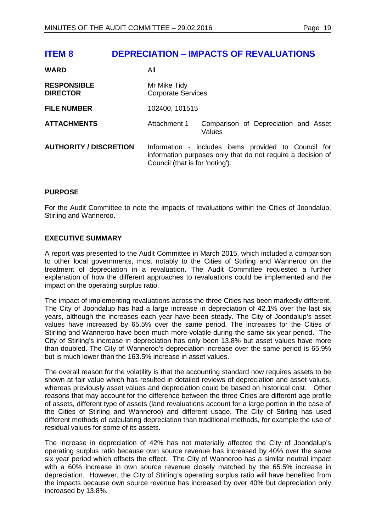# <span id="page-18-0"></span>**ITEM 8 DEPRECIATION – IMPACTS OF REVALUATIONS**

| <b>WARD</b>                           | All                                                                                                                                                    |                                                |
|---------------------------------------|--------------------------------------------------------------------------------------------------------------------------------------------------------|------------------------------------------------|
| <b>RESPONSIBLE</b><br><b>DIRECTOR</b> | Mr Mike Tidy<br><b>Corporate Services</b>                                                                                                              |                                                |
| <b>FILE NUMBER</b>                    | 102400, 101515                                                                                                                                         |                                                |
| <b>ATTACHMENTS</b>                    | Attachment 1                                                                                                                                           | Comparison of Depreciation and Asset<br>Values |
| <b>AUTHORITY / DISCRETION</b>         | Information - includes items provided to Council for<br>information purposes only that do not require a decision of<br>Council (that is for 'noting'). |                                                |

#### **PURPOSE**

For the Audit Committee to note the impacts of revaluations within the Cities of Joondalup, Stirling and Wanneroo.

#### **EXECUTIVE SUMMARY**

A report was presented to the Audit Committee in March 2015, which included a comparison to other local governments, most notably to the Cities of Stirling and Wanneroo on the treatment of depreciation in a revaluation. The Audit Committee requested a further explanation of how the different approaches to revaluations could be implemented and the impact on the operating surplus ratio.

The impact of implementing revaluations across the three Cities has been markedly different. The City of Joondalup has had a large increase in depreciation of 42.1% over the last six years, although the increases each year have been steady. The City of Joondalup's asset values have increased by 65.5% over the same period. The increases for the Cities of Stirling and Wanneroo have been much more volatile during the same six year period. The City of Stirling's increase in depreciation has only been 13.8% but asset values have more than doubled. The City of Wanneroo's depreciation increase over the same period is 65.9% but is much lower than the 163.5% increase in asset values.

The overall reason for the volatility is that the accounting standard now requires assets to be shown at fair value which has resulted in detailed reviews of depreciation and asset values, whereas previously asset values and depreciation could be based on historical cost. Other reasons that may account for the difference between the three Cities are different age profile of assets, different type of assets (land revaluations account for a large portion in the case of the Cities of Stirling and Wanneroo) and different usage. The City of Stirling has used different methods of calculating depreciation than traditional methods, for example the use of residual values for some of its assets.

The increase in depreciation of 42% has not materially affected the City of Joondalup's operating surplus ratio because own source revenue has increased by 40% over the same six year period which offsets the effect. The City of Wanneroo has a similar neutral impact with a 60% increase in own source revenue closely matched by the 65.5% increase in depreciation. However, the City of Stirling's operating surplus ratio will have benefited from the impacts because own source revenue has increased by over 40% but depreciation only increased by 13.8%.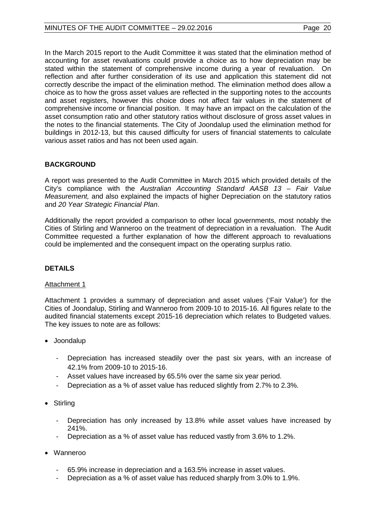In the March 2015 report to the Audit Committee it was stated that the elimination method of accounting for asset revaluations could provide a choice as to how depreciation may be stated within the statement of comprehensive income during a year of revaluation. On reflection and after further consideration of its use and application this statement did not correctly describe the impact of the elimination method. The elimination method does allow a choice as to how the gross asset values are reflected in the supporting notes to the accounts and asset registers, however this choice does not affect fair values in the statement of comprehensive income or financial position. It may have an impact on the calculation of the asset consumption ratio and other statutory ratios without disclosure of gross asset values in the notes to the financial statements. The City of Joondalup used the elimination method for buildings in 2012-13, but this caused difficulty for users of financial statements to calculate various asset ratios and has not been used again.

# **BACKGROUND**

A report was presented to the Audit Committee in March 2015 which provided details of the City's compliance with the *Australian Accounting Standard AASB 13 – Fair Value Measurement,* and also explained the impacts of higher Depreciation on the statutory ratios and *20 Year Strategic Financial Plan*.

Additionally the report provided a comparison to other local governments, most notably the Cities of Stirling and Wanneroo on the treatment of depreciation in a revaluation. The Audit Committee requested a further explanation of how the different approach to revaluations could be implemented and the consequent impact on the operating surplus ratio.

# **DETAILS**

## Attachment 1

Attachment 1 provides a summary of depreciation and asset values ('Fair Value') for the Cities of Joondalup, Stirling and Wanneroo from 2009-10 to 2015-16. All figures relate to the audited financial statements except 2015-16 depreciation which relates to Budgeted values. The key issues to note are as follows:

- Joondalup
	- Depreciation has increased steadily over the past six years, with an increase of 42.1% from 2009-10 to 2015-16.
	- Asset values have increased by 65.5% over the same six year period.
	- Depreciation as a % of asset value has reduced slightly from 2.7% to 2.3%.
- Stirling
	- Depreciation has only increased by 13.8% while asset values have increased by 241%.
	- Depreciation as a % of asset value has reduced vastly from 3.6% to 1.2%.
- Wanneroo
	- 65.9% increase in depreciation and a 163.5% increase in asset values.
	- Depreciation as a % of asset value has reduced sharply from 3.0% to 1.9%.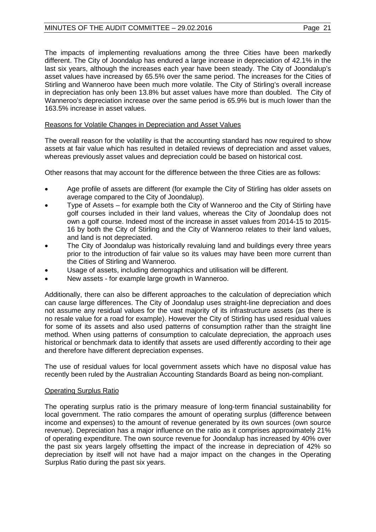# MINUTES OF THE AUDIT COMMITTEE – 29.02.2016 Page 21

The impacts of implementing revaluations among the three Cities have been markedly different. The City of Joondalup has endured a large increase in depreciation of 42.1% in the last six years, although the increases each year have been steady. The City of Joondalup's asset values have increased by 65.5% over the same period. The increases for the Cities of Stirling and Wanneroo have been much more volatile. The City of Stirling's overall increase in depreciation has only been 13.8% but asset values have more than doubled. The City of Wanneroo's depreciation increase over the same period is 65.9% but is much lower than the 163.5% increase in asset values.

# Reasons for Volatile Changes in Depreciation and Asset Values

The overall reason for the volatility is that the accounting standard has now required to show assets at fair value which has resulted in detailed reviews of depreciation and asset values, whereas previously asset values and depreciation could be based on historical cost.

Other reasons that may account for the difference between the three Cities are as follows:

- Age profile of assets are different (for example the City of Stirling has older assets on average compared to the City of Joondalup).
- Type of Assets for example both the City of Wanneroo and the City of Stirling have golf courses included in their land values, whereas the City of Joondalup does not own a golf course. Indeed most of the increase in asset values from 2014-15 to 2015- 16 by both the City of Stirling and the City of Wanneroo relates to their land values, and land is not depreciated.
- The City of Joondalup was historically revaluing land and buildings every three years prior to the introduction of fair value so its values may have been more current than the Cities of Stirling and Wanneroo.
- Usage of assets, including demographics and utilisation will be different.
- New assets for example large growth in Wanneroo.

Additionally, there can also be different approaches to the calculation of depreciation which can cause large differences. The City of Joondalup uses straight-line depreciation and does not assume any residual values for the vast majority of its infrastructure assets (as there is no resale value for a road for example). However the City of Stirling has used residual values for some of its assets and also used patterns of consumption rather than the straight line method. When using patterns of consumption to calculate depreciation, the approach uses historical or benchmark data to identify that assets are used differently according to their age and therefore have different depreciation expenses.

The use of residual values for local government assets which have no disposal value has recently been ruled by the Australian Accounting Standards Board as being non-compliant.

## Operating Surplus Ratio

The operating surplus ratio is the primary measure of long-term financial sustainability for local government. The ratio compares the amount of operating surplus (difference between income and expenses) to the amount of revenue generated by its own sources (own source revenue). Depreciation has a major influence on the ratio as it comprises approximately 21% of operating expenditure. The own source revenue for Joondalup has increased by 40% over the past six years largely offsetting the impact of the increase in depreciation of 42% so depreciation by itself will not have had a major impact on the changes in the Operating Surplus Ratio during the past six years.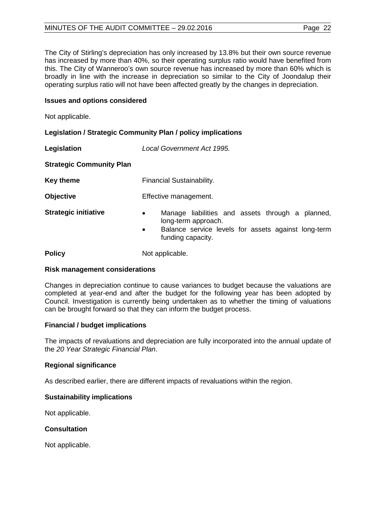# MINUTES OF THE AUDIT COMMITTEE – 29.02.2016 Page 22

The City of Stirling's depreciation has only increased by 13.8% but their own source revenue has increased by more than 40%, so their operating surplus ratio would have benefited from this. The City of Wanneroo's own source revenue has increased by more than 60% which is broadly in line with the increase in depreciation so similar to the City of Joondalup their operating surplus ratio will not have been affected greatly by the changes in depreciation.

## **Issues and options considered**

Not applicable.

# **Legislation / Strategic Community Plan / policy implications**

| Legislation                     | Local Government Act 1995.                                                                                                                                                    |  |  |
|---------------------------------|-------------------------------------------------------------------------------------------------------------------------------------------------------------------------------|--|--|
| <b>Strategic Community Plan</b> |                                                                                                                                                                               |  |  |
| <b>Key theme</b>                | Financial Sustainability.                                                                                                                                                     |  |  |
| <b>Objective</b>                | Effective management.                                                                                                                                                         |  |  |
| <b>Strategic initiative</b>     | Manage liabilities and assets through a planned,<br>$\bullet$<br>long-term approach.<br>Balance service levels for assets against long-term<br>$\bullet$<br>funding capacity. |  |  |
| <b>Policy</b>                   | Not applicable.                                                                                                                                                               |  |  |

#### **Risk management considerations**

Changes in depreciation continue to cause variances to budget because the valuations are completed at year-end and after the budget for the following year has been adopted by Council. Investigation is currently being undertaken as to whether the timing of valuations can be brought forward so that they can inform the budget process.

## **Financial / budget implications**

The impacts of revaluations and depreciation are fully incorporated into the annual update of the *20 Year Strategic Financial Plan*.

## **Regional significance**

As described earlier, there are different impacts of revaluations within the region.

# **Sustainability implications**

Not applicable.

## **Consultation**

Not applicable.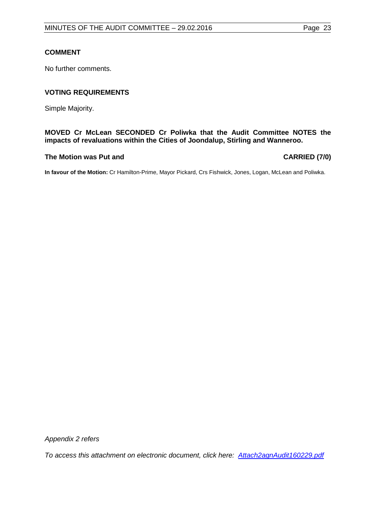# **COMMENT**

No further comments.

# **VOTING REQUIREMENTS**

Simple Majority.

## **MOVED Cr McLean SECONDED Cr Poliwka that the Audit Committee NOTES the impacts of revaluations within the Cities of Joondalup, Stirling and Wanneroo.**

#### **The Motion was Put and CARRIED (7/0)**

**In favour of the Motion:** Cr Hamilton-Prime, Mayor Pickard, Crs Fishwick, Jones, Logan, McLean and Poliwka.

*Appendix 2 refers*

*To access this attachment on electronic document, clic[k here: Attach2agnAudit160229.pdf](http://www.joondalup.wa.gov.au/files/committees/AUDT/2016/Attach2agnAudit160229.pdf)*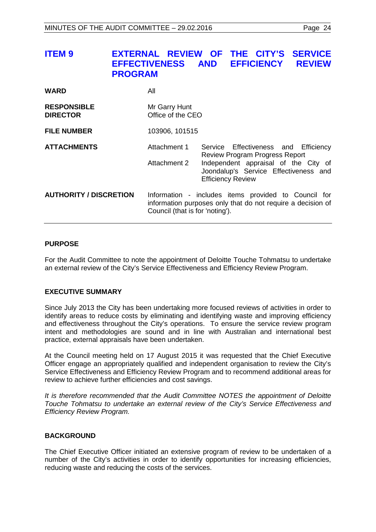<span id="page-23-0"></span>

| <b>ITEM 9</b>                         | <b>EFFECTIVENESS</b><br><b>PROGRAM</b> | EXTERNAL REVIEW OF THE CITY'S<br><b>SERVICE</b><br><b>AND</b><br><b>EFFICIENCY</b><br><b>REVIEW</b>                                                                                        |
|---------------------------------------|----------------------------------------|--------------------------------------------------------------------------------------------------------------------------------------------------------------------------------------------|
| <b>WARD</b>                           | All                                    |                                                                                                                                                                                            |
| <b>RESPONSIBLE</b><br><b>DIRECTOR</b> | Mr Garry Hunt<br>Office of the CEO     |                                                                                                                                                                                            |
| <b>FILE NUMBER</b>                    | 103906, 101515                         |                                                                                                                                                                                            |
| <b>ATTACHMENTS</b>                    | Attachment 1<br>Attachment 2           | Service Effectiveness and Efficiency<br><b>Review Program Progress Report</b><br>Independent appraisal of the City of<br>Joondalup's Service Effectiveness and<br><b>Efficiency Review</b> |
| <b>AUTHORITY / DISCRETION</b>         | Council (that is for 'noting').        | Information - includes items provided to Council for<br>information purposes only that do not require a decision of                                                                        |

#### **PURPOSE**

For the Audit Committee to note the appointment of Deloitte Touche Tohmatsu to undertake an external review of the City's Service Effectiveness and Efficiency Review Program.

## **EXECUTIVE SUMMARY**

Since July 2013 the City has been undertaking more focused reviews of activities in order to identify areas to reduce costs by eliminating and identifying waste and improving efficiency and effectiveness throughout the City's operations. To ensure the service review program intent and methodologies are sound and in line with Australian and international best practice, external appraisals have been undertaken.

At the Council meeting held on 17 August 2015 it was requested that the Chief Executive Officer engage an appropriately qualified and independent organisation to review the City's Service Effectiveness and Efficiency Review Program and to recommend additional areas for review to achieve further efficiencies and cost savings.

*It is therefore recommended that the Audit Committee NOTES the appointment of Deloitte Touche Tohmatsu to undertake an external review of the City's Service Effectiveness and Efficiency Review Program.*

## **BACKGROUND**

The Chief Executive Officer initiated an extensive program of review to be undertaken of a number of the City's activities in order to identify opportunities for increasing efficiencies, reducing waste and reducing the costs of the services.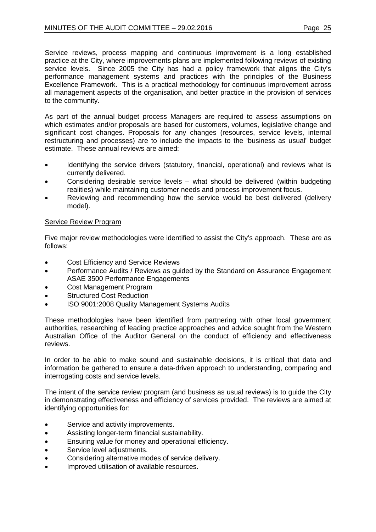# MINUTES OF THE AUDIT COMMITTEE – 29.02.2016 Page 25

As part of the annual budget process Managers are required to assess assumptions on which estimates and/or proposals are based for customers, volumes, legislative change and significant cost changes. Proposals for any changes (resources, service levels, internal restructuring and processes) are to include the impacts to the 'business as usual' budget estimate. These annual reviews are aimed:

- Identifying the service drivers (statutory, financial, operational) and reviews what is currently delivered.
- Considering desirable service levels what should be delivered (within budgeting realities) while maintaining customer needs and process improvement focus.
- Reviewing and recommending how the service would be best delivered (delivery model).

# Service Review Program

Five major review methodologies were identified to assist the City's approach. These are as follows:

- Cost Efficiency and Service Reviews
- Performance Audits / Reviews as guided by the Standard on Assurance Engagement ASAE 3500 Performance Engagements
- Cost Management Program
- Structured Cost Reduction
- ISO 9001:2008 Quality Management Systems Audits

These methodologies have been identified from partnering with other local government authorities, researching of leading practice approaches and advice sought from the Western Australian Office of the Auditor General on the conduct of efficiency and effectiveness reviews.

In order to be able to make sound and sustainable decisions, it is critical that data and information be gathered to ensure a data-driven approach to understanding, comparing and interrogating costs and service levels.

The intent of the service review program (and business as usual reviews) is to guide the City in demonstrating effectiveness and efficiency of services provided. The reviews are aimed at identifying opportunities for:

- Service and activity improvements.
- Assisting longer-term financial sustainability.
- Ensuring value for money and operational efficiency.
- Service level adjustments.
- Considering alternative modes of service delivery.
- Improved utilisation of available resources.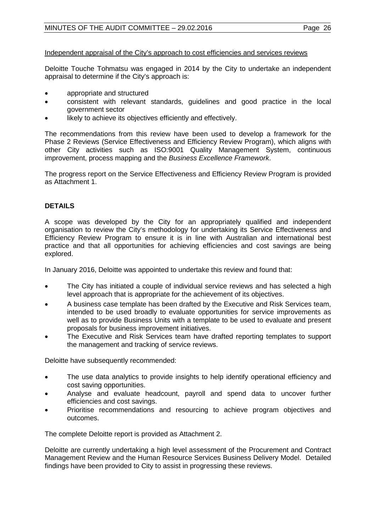#### Independent appraisal of the City's approach to cost efficiencies and services reviews

Deloitte Touche Tohmatsu was engaged in 2014 by the City to undertake an independent appraisal to determine if the City's approach is:

- appropriate and structured
- consistent with relevant standards, guidelines and good practice in the local government sector
- likely to achieve its objectives efficiently and effectively.

The recommendations from this review have been used to develop a framework for the Phase 2 Reviews (Service Effectiveness and Efficiency Review Program), which aligns with other City activities such as ISO:9001 Quality Management System, continuous improvement, process mapping and the *Business Excellence Framework*.

The progress report on the Service Effectiveness and Efficiency Review Program is provided as Attachment 1.

## **DETAILS**

A scope was developed by the City for an appropriately qualified and independent organisation to review the City's methodology for undertaking its Service Effectiveness and Efficiency Review Program to ensure it is in line with Australian and international best practice and that all opportunities for achieving efficiencies and cost savings are being explored.

In January 2016, Deloitte was appointed to undertake this review and found that:

- The City has initiated a couple of individual service reviews and has selected a high level approach that is appropriate for the achievement of its objectives.
- A business case template has been drafted by the Executive and Risk Services team, intended to be used broadly to evaluate opportunities for service improvements as well as to provide Business Units with a template to be used to evaluate and present proposals for business improvement initiatives.
- The Executive and Risk Services team have drafted reporting templates to support the management and tracking of service reviews.

Deloitte have subsequently recommended:

- The use data analytics to provide insights to help identify operational efficiency and cost saving opportunities.
- Analyse and evaluate headcount, payroll and spend data to uncover further efficiencies and cost savings.
- Prioritise recommendations and resourcing to achieve program objectives and outcomes.

The complete Deloitte report is provided as Attachment 2.

Deloitte are currently undertaking a high level assessment of the Procurement and Contract Management Review and the Human Resource Services Business Delivery Model. Detailed findings have been provided to City to assist in progressing these reviews.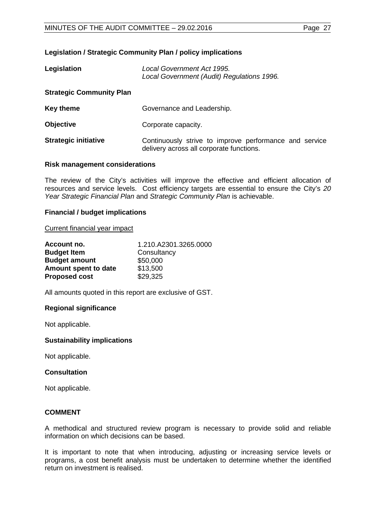# **Legislation / Strategic Community Plan / policy implications**

| Legislation                     | Local Government Act 1995.<br>Local Government (Audit) Regulations 1996.                           |
|---------------------------------|----------------------------------------------------------------------------------------------------|
| <b>Strategic Community Plan</b> |                                                                                                    |
| <b>Key theme</b>                | Governance and Leadership.                                                                         |
| <b>Objective</b>                | Corporate capacity.                                                                                |
| <b>Strategic initiative</b>     | Continuously strive to improve performance and service<br>delivery across all corporate functions. |

#### **Risk management considerations**

The review of the City's activities will improve the effective and efficient allocation of resources and service levels. Cost efficiency targets are essential to ensure the City's *20 Year Strategic Financial Plan* and *Strategic Community Plan* is achievable.

#### **Financial / budget implications**

#### Current financial year impact

| Account no.          | 1.210.A2301.3265.0000 |
|----------------------|-----------------------|
| <b>Budget Item</b>   | Consultancy           |
| <b>Budget amount</b> | \$50,000              |
| Amount spent to date | \$13,500              |
| <b>Proposed cost</b> | \$29,325              |

All amounts quoted in this report are exclusive of GST.

## **Regional significance**

Not applicable.

## **Sustainability implications**

Not applicable.

## **Consultation**

Not applicable.

## **COMMENT**

A methodical and structured review program is necessary to provide solid and reliable information on which decisions can be based.

It is important to note that when introducing, adjusting or increasing service levels or programs, a cost benefit analysis must be undertaken to determine whether the identified return on investment is realised.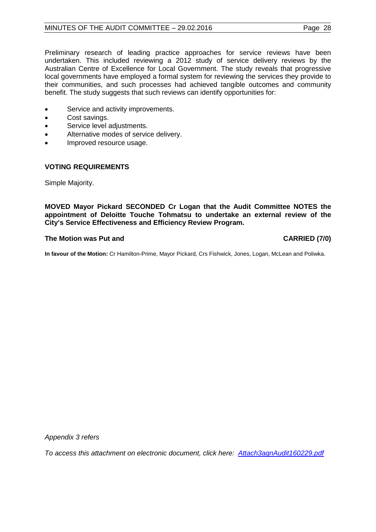# MINUTES OF THE AUDIT COMMITTEE – 29.02.2016 Page 28

Preliminary research of leading practice approaches for service reviews have been undertaken. This included reviewing a 2012 study of service delivery reviews by the Australian Centre of Excellence for Local Government. The study reveals that progressive local governments have employed a formal system for reviewing the services they provide to their communities, and such processes had achieved tangible outcomes and community benefit. The study suggests that such reviews can identify opportunities for:

- Service and activity improvements.
- Cost savings.
- Service level adjustments.
- Alternative modes of service delivery.
- Improved resource usage.

## **VOTING REQUIREMENTS**

Simple Majority.

**MOVED Mayor Pickard SECONDED Cr Logan that the Audit Committee NOTES the appointment of Deloitte Touche Tohmatsu to undertake an external review of the City's Service Effectiveness and Efficiency Review Program.**

## **The Motion was Put and CARRIED (7/0)**

**In favour of the Motion:** Cr Hamilton-Prime, Mayor Pickard, Crs Fishwick, Jones, Logan, McLean and Poliwka.

*Appendix 3 refers*

*To access this attachment on electronic document, click [here: Attach3agnAudit160229.pdf](http://www.joondalup.wa.gov.au/files/committees/AUDT/2016/Attach3agnAudit160229.pdf)*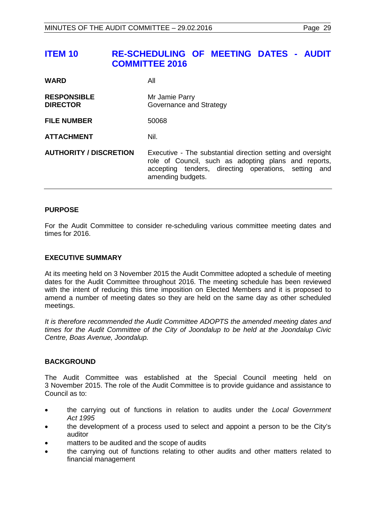# <span id="page-28-0"></span>**ITEM 10 RE-SCHEDULING OF MEETING DATES - AUDIT COMMITTEE 2016**

| <b>WARD</b>                           | All                                                                                                                                                                                              |
|---------------------------------------|--------------------------------------------------------------------------------------------------------------------------------------------------------------------------------------------------|
| <b>RESPONSIBLE</b><br><b>DIRECTOR</b> | Mr Jamie Parry<br>Governance and Strategy                                                                                                                                                        |
| <b>FILE NUMBER</b>                    | 50068                                                                                                                                                                                            |
| <b>ATTACHMENT</b>                     | Nil.                                                                                                                                                                                             |
| <b>AUTHORITY / DISCRETION</b>         | Executive - The substantial direction setting and oversight<br>role of Council, such as adopting plans and reports,<br>accepting tenders, directing operations, setting and<br>amending budgets. |

## **PURPOSE**

For the Audit Committee to consider re-scheduling various committee meeting dates and times for 2016.

## **EXECUTIVE SUMMARY**

At its meeting held on 3 November 2015 the Audit Committee adopted a schedule of meeting dates for the Audit Committee throughout 2016. The meeting schedule has been reviewed with the intent of reducing this time imposition on Elected Members and it is proposed to amend a number of meeting dates so they are held on the same day as other scheduled meetings.

*It is therefore recommended the Audit Committee ADOPTS the amended meeting dates and times for the Audit Committee of the City of Joondalup to be held at the Joondalup Civic Centre, Boas Avenue, Joondalup.*

#### **BACKGROUND**

The Audit Committee was established at the Special Council meeting held on 3 November 2015. The role of the Audit Committee is to provide guidance and assistance to Council as to:

- the carrying out of functions in relation to audits under the *Local Government Act 1995*
- the development of a process used to select and appoint a person to be the City's auditor
- matters to be audited and the scope of audits
- the carrying out of functions relating to other audits and other matters related to financial management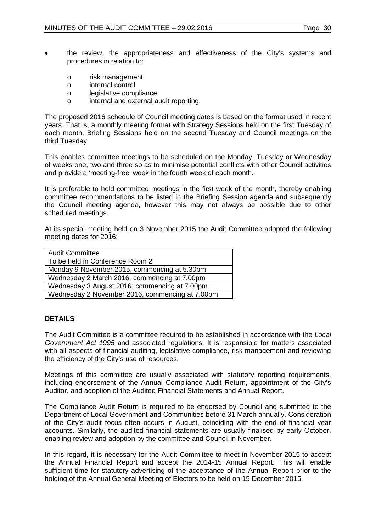- the review, the appropriateness and effectiveness of the City's systems and procedures in relation to:
	- o risk management<br>o internal control
	- o internal control<br>o legislative comm
	- o legislative compliance<br>o internal and external a
	- internal and external audit reporting.

The proposed 2016 schedule of Council meeting dates is based on the format used in recent years. That is, a monthly meeting format with Strategy Sessions held on the first Tuesday of each month, Briefing Sessions held on the second Tuesday and Council meetings on the third Tuesday.

This enables committee meetings to be scheduled on the Monday, Tuesday or Wednesday of weeks one, two and three so as to minimise potential conflicts with other Council activities and provide a 'meeting-free' week in the fourth week of each month.

It is preferable to hold committee meetings in the first week of the month, thereby enabling committee recommendations to be listed in the Briefing Session agenda and subsequently the Council meeting agenda, however this may not always be possible due to other scheduled meetings.

At its special meeting held on 3 November 2015 the Audit Committee adopted the following meeting dates for 2016:

# **DETAILS**

The Audit Committee is a committee required to be established in accordance with the *Local Government Act 1995* and associated regulations. It is responsible for matters associated with all aspects of financial auditing, legislative compliance, risk management and reviewing the efficiency of the City's use of resources.

Meetings of this committee are usually associated with statutory reporting requirements, including endorsement of the Annual Compliance Audit Return, appointment of the City's Auditor, and adoption of the Audited Financial Statements and Annual Report.

The Compliance Audit Return is required to be endorsed by Council and submitted to the Department of Local Government and Communities before 31 March annually. Consideration of the City's audit focus often occurs in August, coinciding with the end of financial year accounts. Similarly, the audited financial statements are usually finalised by early October, enabling review and adoption by the committee and Council in November.

In this regard, it is necessary for the Audit Committee to meet in November 2015 to accept the Annual Financial Report and accept the 2014-15 Annual Report. This will enable sufficient time for statutory advertising of the acceptance of the Annual Report prior to the holding of the Annual General Meeting of Electors to be held on 15 December 2015.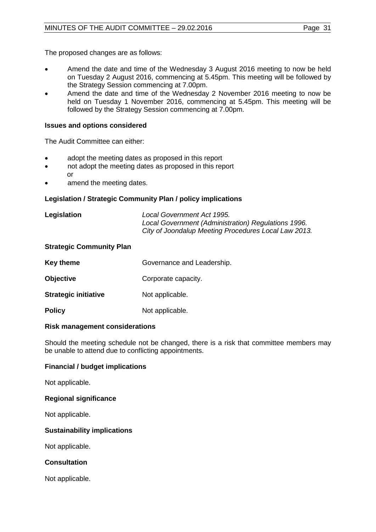The proposed changes are as follows:

- Amend the date and time of the Wednesday 3 August 2016 meeting to now be held on Tuesday 2 August 2016, commencing at 5.45pm. This meeting will be followed by the Strategy Session commencing at 7.00pm.
- Amend the date and time of the Wednesday 2 November 2016 meeting to now be held on Tuesday 1 November 2016, commencing at 5.45pm. This meeting will be followed by the Strategy Session commencing at 7.00pm.

## **Issues and options considered**

The Audit Committee can either:

- adopt the meeting dates as proposed in this report
- not adopt the meeting dates as proposed in this report or
- amend the meeting dates.

## **Legislation / Strategic Community Plan / policy implications**

| Legislation | Local Government Act 1995.                           |
|-------------|------------------------------------------------------|
|             | Local Government (Administration) Regulations 1996.  |
|             | City of Joondalup Meeting Procedures Local Law 2013. |

#### **Strategic Community Plan**

| Key theme                   | Governance and Leadership. |
|-----------------------------|----------------------------|
| <b>Objective</b>            | Corporate capacity.        |
| <b>Strategic initiative</b> | Not applicable.            |
| <b>Policy</b>               | Not applicable.            |

#### **Risk management considerations**

Should the meeting schedule not be changed, there is a risk that committee members may be unable to attend due to conflicting appointments.

## **Financial / budget implications**

Not applicable.

## **Regional significance**

Not applicable.

## **Sustainability implications**

Not applicable.

## **Consultation**

Not applicable.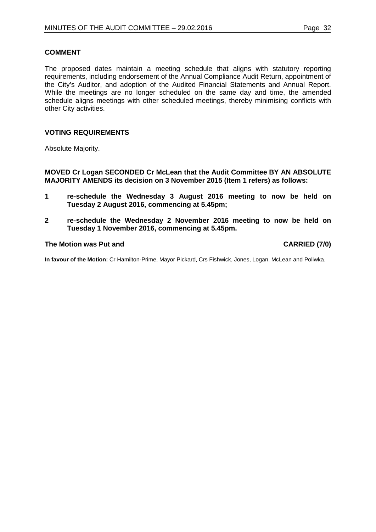#### **COMMENT**

The proposed dates maintain a meeting schedule that aligns with statutory reporting requirements, including endorsement of the Annual Compliance Audit Return, appointment of the City's Auditor, and adoption of the Audited Financial Statements and Annual Report. While the meetings are no longer scheduled on the same day and time, the amended schedule aligns meetings with other scheduled meetings, thereby minimising conflicts with other City activities.

#### **VOTING REQUIREMENTS**

Absolute Majority.

**MOVED Cr Logan SECONDED Cr McLean that the Audit Committee BY AN ABSOLUTE MAJORITY AMENDS its decision on 3 November 2015 (Item 1 refers) as follows:**

- **1 re-schedule the Wednesday 3 August 2016 meeting to now be held on Tuesday 2 August 2016, commencing at 5.45pm;**
- **2 re-schedule the Wednesday 2 November 2016 meeting to now be held on Tuesday 1 November 2016, commencing at 5.45pm.**

### **The Motion was Put and CARRIED (7/0)**